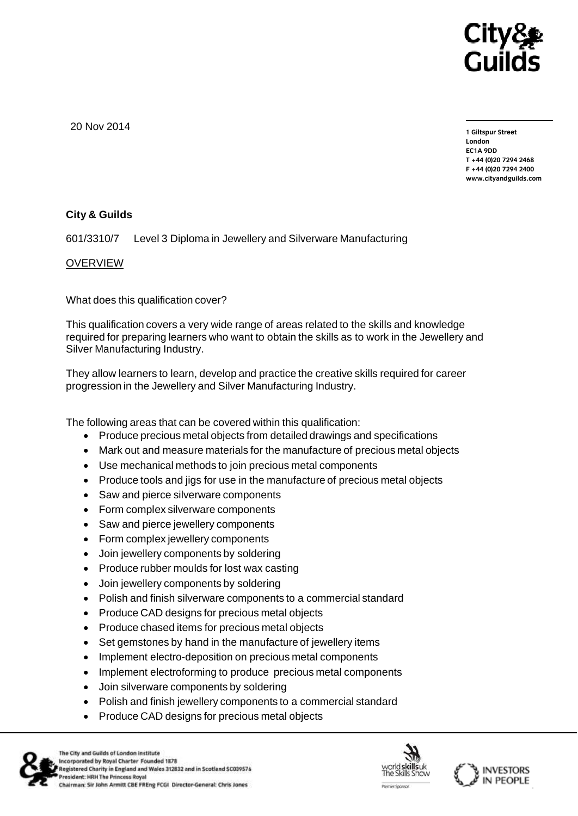

20 Nov 2014

**1 Giltspur Street EC1A 9DD**  $T + 44 (0)20 7294 2468$ **T +44 (0)20 7294 246[8](http://www.cityandguilds.com/) F +44 (0)20 7294 2400 [www.cityandguilds.com](http://www.cityandguilds.com/)**

# **City & Guilds**

601/3310/7 Level 3 Diploma in Jewellery and Silverware Manufacturing

## OVERVIEW

What does this qualification cover?

This qualification covers a very wide range of areas related to the skills and knowledge required for preparing learners who want to obtain the skills as to work in the Jewellery and Silver Manufacturing Industry.

They allow learners to learn, develop and practice the creative skills required for career progression in the Jewellery and Silver Manufacturing Industry.

The following areas that can be covered within this qualification:

- Produce precious metal objects from detailed drawings and specifications
- Mark out and measure materials for the manufacture of precious metal objects
- Use mechanical methods to join precious metal components
- Produce tools and jigs for use in the manufacture of precious metal objects
- Saw and pierce silverware components
- Form complex silverware components
- Saw and pierce jewellery components
- Form complex jewellery components
- Join jewellery components by soldering
- Produce rubber moulds for lost wax casting
- Join jewellery components by soldering
- Polish and finish silverware components to a commercial standard
- Produce CAD designs for precious metal objects
- Produce chased items for precious metal objects
- Set gemstones by hand in the manufacture of jewellery items
- Implement electro-deposition on precious metal components
- Implement electroforming to produce precious metal components
- Join silverware components by soldering
- Polish and finish jewellery components to a commercial standard
- Produce CAD designs for precious metal objects



The City and Guilds of London Institute Incorporated by Royal Charter Founded 1878 Registered Charity in England and Wales 312832 and in Scotland SC039576 President: HRH The Princess Royal Chairman: Sir John Armitt CBE FREng FCGI Director-General: Chris Jones